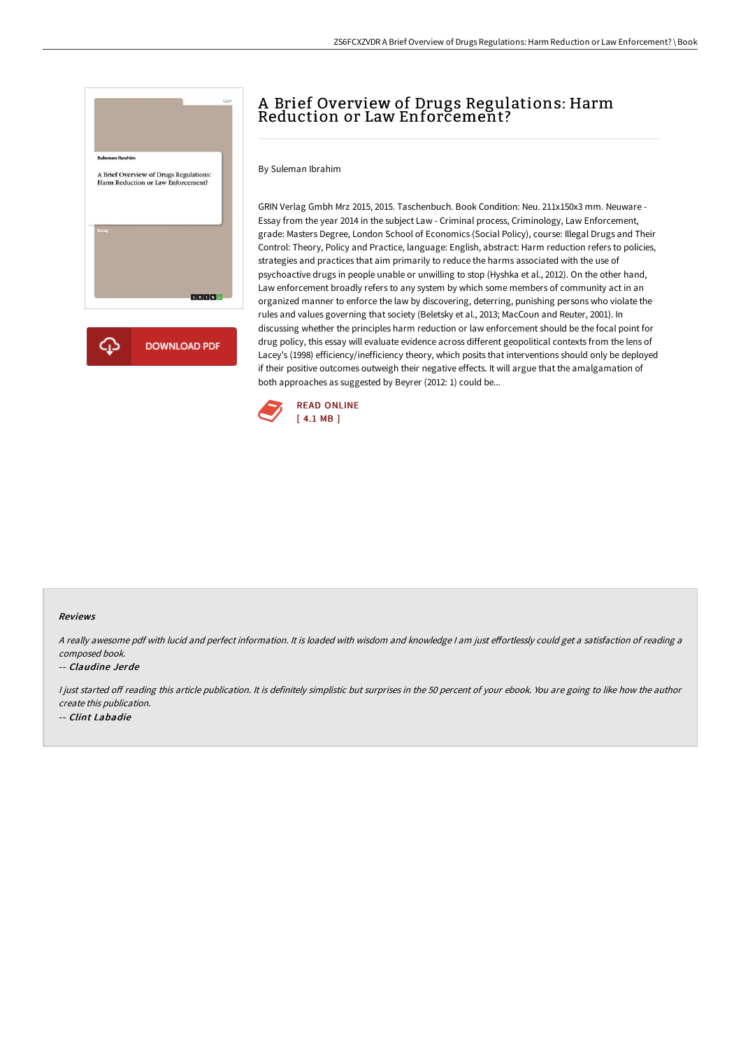

# A Brief Overview of Drugs Regulations: Harm Reduction or Law Enforcement?

By Suleman Ibrahim

GRIN Verlag Gmbh Mrz 2015, 2015. Taschenbuch. Book Condition: Neu. 211x150x3 mm. Neuware - Essay from the year 2014 in the subject Law - Criminal process, Criminology, Law Enforcement, grade: Masters Degree, London School of Economics (Social Policy), course: Illegal Drugs and Their Control: Theory, Policy and Practice, language: English, abstract: Harm reduction refers to policies, strategies and practices that aim primarily to reduce the harms associated with the use of psychoactive drugs in people unable or unwilling to stop (Hyshka et al., 2012). On the other hand, Law enforcement broadly refers to any system by which some members of community act in an organized manner to enforce the law by discovering, deterring, punishing persons who violate the rules and values governing that society (Beletsky et al., 2013; MacCoun and Reuter, 2001). In discussing whether the principles harm reduction or law enforcement should be the focal point for drug policy, this essay will evaluate evidence across different geopolitical contexts from the lens of Lacey's (1998) efficiency/inefficiency theory, which posits that interventions should only be deployed if their positive outcomes outweigh their negative effects. It will argue that the amalgamation of both approaches as suggested by Beyrer (2012: 1) could be...



### Reviews

A really awesome pdf with lucid and perfect information. It is loaded with wisdom and knowledge I am just effortlessly could get a satisfaction of reading a composed book.

### -- Claudine Jerde

I just started off reading this article publication. It is definitely simplistic but surprises in the 50 percent of your ebook. You are going to like how the author create this publication. -- Clint Labadie